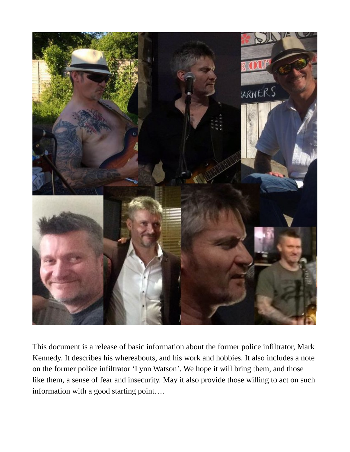

This document is a release of basic information about the former police infiltrator, Mark Kennedy. It describes his whereabouts, and his work and hobbies. It also includes a note on the former police infiltrator 'Lynn Watson'. We hope it will bring them, and those like them, a sense of fear and insecurity. May it also provide those willing to act on such information with a good starting point….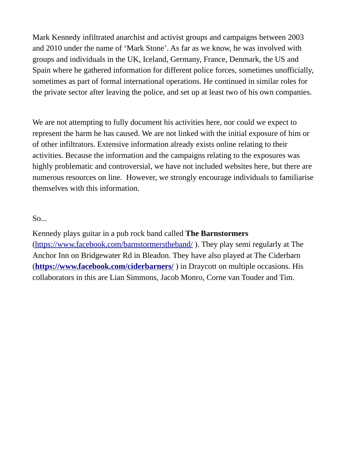Mark Kennedy infiltrated anarchist and activist groups and campaigns between 2003 and 2010 under the name of 'Mark Stone'. As far as we know, he was involved with groups and individuals in the UK, Iceland, Germany, France, Denmark, the US and Spain where he gathered information for different police forces, sometimes unofficially, sometimes as part of formal international operations. He continued in similar roles for the private sector after leaving the police, and set up at least two of his own companies.

We are not attempting to fully document his activities here, nor could we expect to represent the harm he has caused. We are not linked with the initial exposure of him or of other infiltrators. Extensive information already exists online relating to their activities. Because the information and the campaigns relating to the exposures was highly problematic and controversial, we have not included websites here, but there are numerous resources on line. However, we strongly encourage individuals to familiarise themselves with this information.

So...

Kennedy plays guitar in a pub rock band called **The Barnstormers**  [\(https://www.facebook.com/barnstormerstheband/](https://www.facebook.com/barnstormerstheband/) ). They play semi regularly at The Anchor Inn on Bridgewater Rd in Bleadon. They have also played at The Ciderbarn (**<https://www.facebook.com/ciderbarners/>** ) in Draycott on multiple occasions. His collaborators in this are Lian Simmons, Jacob Monro, Corne van Touder and Tim.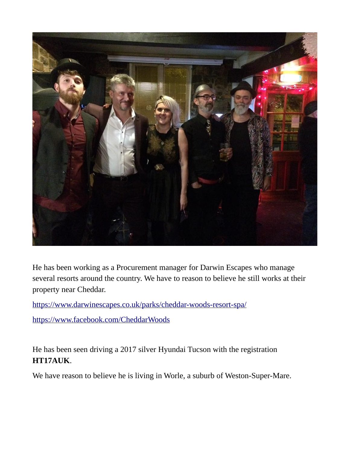

He has been working as a Procurement manager for Darwin Escapes who manage several resorts around the country. We have to reason to believe he still works at their property near Cheddar.

<https://www.darwinescapes.co.uk/parks/cheddar-woods-resort-spa/>

<https://www.facebook.com/CheddarWoods>

He has been seen driving a 2017 silver Hyundai Tucson with the registration **HT17AUK**.

We have reason to believe he is living in Worle, a suburb of Weston-Super-Mare.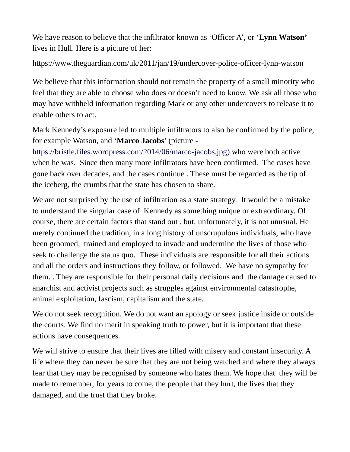We have reason to believe that the infiltrator known as 'Officer A', or '**Lynn Watson'**  lives in Hull. Here is a picture of her:

<https://www.theguardian.com/uk/2011/jan/19/undercover-police-officer-lynn-watson>

We believe that this information should not remain the property of a small minority who feel that they are able to choose who does or doesn't need to know. We ask all those who may have withheld information regarding Mark or any other undercovers to release it to enable others to act.

Mark Kennedy's exposure led to multiple infiltrators to also be confirmed by the police, for example Watson, and '**Marco Jacobs**' (picture -

[https://bristle.files.wordpress.com/2014/06/marco-jacobs.jpg\)](https://bristle.files.wordpress.com/2014/06/marco-jacobs.jpg) who were both active when he was. Since then many more infiltrators have been confirmed. The cases have gone back over decades, and the cases continue . These must be regarded as the tip of the iceberg, the crumbs that the state has chosen to share.

We are not surprised by the use of infiltration as a state strategy. It would be a mistake to understand the singular case of Kennedy as something unique or extraordinary. Of course, there are certain factors that stand out . but, unfortunately, it is not unusual. He merely continued the tradition, in a long history of unscrupulous individuals, who have been groomed, trained and employed to invade and undermine the lives of those who seek to challenge the status quo. These individuals are responsible for all their actions and all the orders and instructions they follow, or followed. We have no sympathy for them. . They are responsible for their personal daily decisions and the damage caused to anarchist and activist projects such as struggles against environmental catastrophe, animal exploitation, fascism, capitalism and the state.

We do not seek recognition. We do not want an apology or seek justice inside or outside the courts. We find no merit in speaking truth to power, but it is important that these actions have consequences.

We will strive to ensure that their lives are filled with misery and constant insecurity. A life where they can never be sure that they are not being watched and where they always fear that they may be recognised by someone who hates them. We hope that they will be made to remember, for years to come, the people that they hurt, the lives that they damaged, and the trust that they broke.